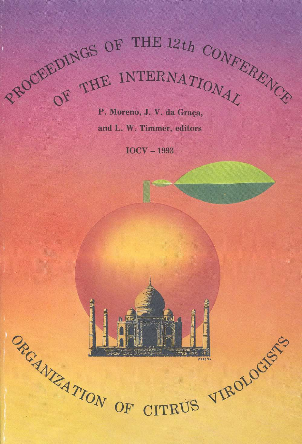PROCEEDINGS OF THE 12th CONFERENT REALLY

and L. W. Timmer, editors-

IOCV — 1993

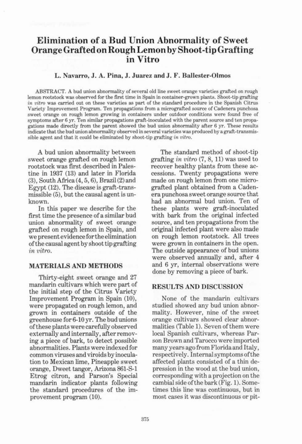# Elimination of a Bud Union Abnormality of Sweet Orange Grafted on Rough Lemon by Shoot-tip Grafting in Vitro

## L. Navarro,J. A. Pina, J. Juarez and J. F. Ballester-Olmos

ABSTRACT. <sup>A</sup> bud union abnormality of several old line sweet orange varieties grafted on rough lemon rootstock was observed for the first time in Spain in container-grown plants. Shoot-tip grafting in vitro was carried out on these varieties as part of the standard procedure in the Spanish Citrus Variety Improvement Program. Ten propagations from a micrografted source of Cadenera punchosa sweet orange on rough lemon growing in containers under outdoor conditions were found free of symptoms after <sup>6</sup> yr. Ten similar propagations graft-inoculated with the parent source and ten propagations made directly from the parent showed the bud union abnormality after <sup>6</sup> yr. These results indicate that the bud union abnormality observed in several varieties was produced by a graft-transmissible agent and that it could be eliminated by shoot-tip grafting in vitro.

A bud union abnormality between sweet orange grafted on rough lemon rootstock was first described in Palestine in 1937 (13) and later in Florida (3), South Africa (4, 5, 6), Brazil (2) and Egypt (12). The disease is graft-transmissible (5), but the causal agent is unknown.

In this paper we describe for the first time the presence of a similar bud union abnormality of sweet orange grafted on rough lemon in Spain, and we present evidence for the elimination of the causal agent by shoot tip grafting in vitro.

#### MATERIALS AND METHODS

Thirty-eight sweet orange and 27 mandarin cultivars which were part of the initial step of the Citrus Variety Improvement Program in Spain (10), were propagated on rough lemon, and grown in containers outside of the greenhouse for 6-10 yr. The bud unions ofthese plants were carefully observed externally and internally, after removing a piece of bark, to detect possible abnormalities. Plants were indexed for common viruses and viroids by inoculation to Mexican lime, Pineapple sweet orange, Dweet tangor, Arizona 861-S-1 Etrog citron, and Parson's Special mandarin indicator plants following the standard procedures of the improvement program (10).

The standard method of shoot-tip grafting in vitro (7, 8, 11) was used to recover healthy plants from these accessions. Twenty propagations were made on rough lemon from one micrografted plant obtained from a Cadenera punchosa sweet orange source that had an abnormal bud union. Ten of these plants were graft-inoculated with bark from the original infected source, and ten propagations from the original infected plant were also made on rough lemon rootstock. All trees were grown in containers in the open. The outside appearance of bud unions were observed annually and, after 4 and <sup>6</sup> yr, internal observations were done by removing a piece of bark.

## RESULTS AND DISCUSSION

None of the mandarin cultivars studied showed any bud union abnormality. However, nine of the sweet orange cultivars showed clear abnormalities (Table 1). Seven of them were local Spanish cultivars, whereas Parson Brown and Taroceo were imported many years ago from Florida and Italy, respectively. Internal symptoms ofthe affected plants consisted of a thin depression in the wood at the bud union, corresponding with a projection on the cambial side ofthe bark (Fig. 1). Sometimes this line was continuous, but in most cases it was discontinuous or pit-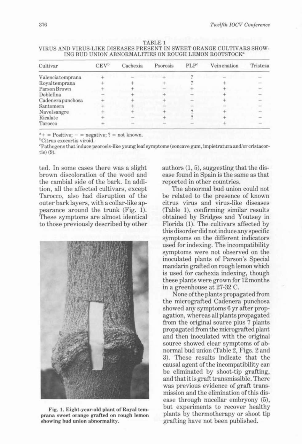| Cultivar          | CEV <sup>b</sup> | Cachexia | Psorosis | PLP <sup>c</sup> | Veinenation | Tristeza |
|-------------------|------------------|----------|----------|------------------|-------------|----------|
| Valenciatemprana  |                  |          |          |                  |             |          |
| Royaltemprana     |                  |          |          |                  |             |          |
| Parson Brown      |                  |          |          |                  |             |          |
| Doblefina         |                  |          |          |                  |             |          |
| Cadenera punchosa |                  |          |          |                  |             |          |
| Santomera         |                  |          |          |                  |             |          |
| Navelsangre       |                  |          |          |                  |             |          |
| Ricalate          |                  |          |          |                  |             |          |
| Tarocco           |                  |          |          |                  |             |          |

TABLE <sup>1</sup> VIRUS AND VIRUS-LIKE DISEASES PRESENT IN SWEET ORANGE CULTIVARS SHOW-ING BUD UNION ABNORMALITIES ON ROUGH LEMON ROOTSTOCK\*

 $a_{+}$  = Positive; - = negative; ? = not known.

<sup>b</sup>Citrus exocortis viroid.

"Pathogens that induce psorosis-like young leaf symptoms (concave gum, impietratura and/or cristacortis) (9).

ted. In some cases there was a slight brown discoloration of the wood and the cambial side of the bark. In addition, all the affected cultivars, except Tarocco, also had disruption of the outer bark layers, with a collar-like appearance around the trunk (Fig. 1). These symptoms are almost identical to those previously described by other



Fig. 1. Eight-year-old plant of Royal temprana sweet orange grafted on rough lemon showing bud union abnormality.

authors (1, 5), suggesting that the disease found in Spain is the same asthat reported in other countries.

The abnormal bud union could not be related to the presence of known citrus virus and virus-like diseases (Table 1), confirming similar results obtained by Bridges and Youtsey in Florida (1). The cultivars affected by this disorder did notinduce any specific symptoms on the different indicators used for indexing. The incompatibility symptoms were not observed on the inoculated plants of Parson's Special mandarin grafted on rough lemon which is used for cachexia indexing, though these plants were grown for <sup>12</sup> months in a greenhouse at 27-32 C.

Noneofthe plants propagated from the micrografted Cadenera punchosa showed any symptoms 6 yr after propagation, whereas all plants propagated from the original source plus 7 plants propagated from the micrografted plant and then inoculated with the original source showed clear symptoms of abnormal bud union (Table 2, Figs. 2 and 3). These results indicate that the causal agent of the incompatibility can be eliminated by shoot-tip grafting, and thatitis graft transmissible. There was previous evidence of graft transmission and the elimination of this disease through nucellar embryony (5), but experiments to recover healthy plants by thermotherapy or shoot tip grafting have not been published.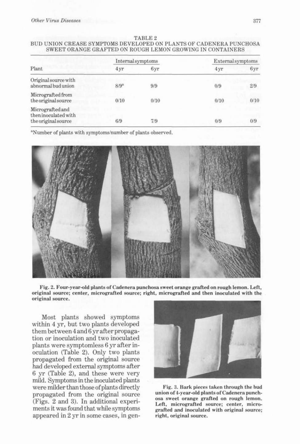|                                                                 | Internal symptoms |      | <b>External</b> symptoms |      |
|-----------------------------------------------------------------|-------------------|------|--------------------------|------|
| Plant                                                           | 4 yr              | 6yr  | 4yr                      | 6yr  |
| Original source with<br>abnormal bud union                      | 8/9 <sup>a</sup>  | 9/9  | 0/9                      | 2/9  |
| Micrografted from<br>the original source                        | 0/10              | 0/10 | 0/10                     | 0/10 |
| Micrografted and<br>then inoculated with<br>the original source | 6/9               | 7/9  | 0/9                      | 0/9  |

#### TABLE 2 BUD UNION CREASE SYMPTOMS DEVELOPED ON PLANTS OF CADENERA PUNCHOSA SWEET ORANGE GRAFTED ON ROUGH LEMON GROWING IN CONTAINERS

"Number of plants with symptoms/number of plants observed.



Fig. 2. Four-year-old plants of Cadenera punchosa sweet orange grafted on rough lemon. Left, original source; center, micrografted source; right, micrografted and then inoculated with the original source.

Most plants showed symptoms within <sup>4</sup> yr, but two plants developed them between <sup>4</sup> and <sup>6</sup> yr after propagation or inoculation and two inoculated plants were symptomless 6 yr after inoculation (Table 2). Only two plants propagated from the original source had developed external symptoms after <sup>6</sup> yr (Table 2), and these were very mild. Symptoms in the inoculated plants were milder than those of plants directly propagated from the original source (Figs. 2 and 3). In additional experiments it was found that while symptoms appeared in <sup>2</sup> yr in some cases, in gen-



Fig. 3. Bark pieces taken through the bud union of 4-year-old plants of Cadenera punchosa sweet orange grafted on rough lemon. Left, micrografted source; center, micrografted and inoculated with original source; right, original source.